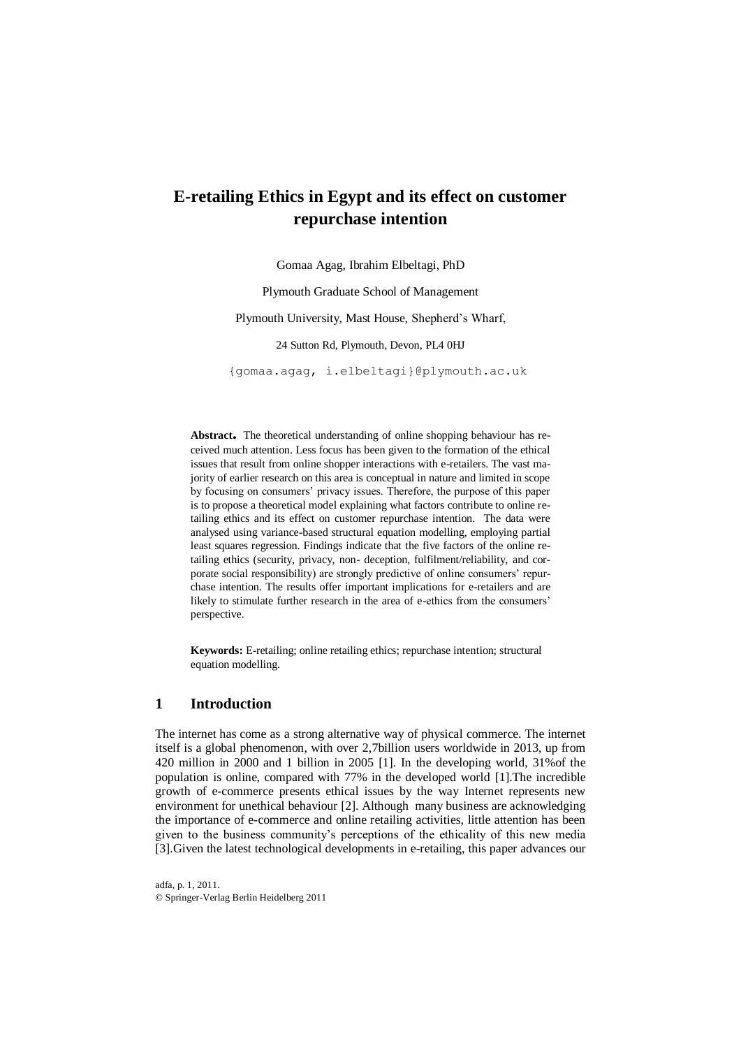# **E-retailing Ethics in Egypt and its effect on customer repurchase intention**

Gomaa Agag, Ibrahim Elbeltagi, PhD

Plymouth Graduate School of Management

Plymouth University, Mast House, Shepherd's Wharf,

24 Sutton Rd, Plymouth, Devon, PL4 0HJ

{gomaa.agag, [i.elbeltagi}@plymouth.ac.uk](mailto:i.elbeltagi%7d@plymouth.ac.uk)

**Abstract.** The theoretical understanding of online shopping behaviour has received much attention. Less focus has been given to the formation of the ethical issues that result from online shopper interactions with e-retailers. The vast majority of earlier research on this area is conceptual in nature and limited in scope by focusing on consumers' privacy issues. Therefore, the purpose of this paper is to propose a theoretical model explaining what factors contribute to online retailing ethics and its effect on customer repurchase intention. The data were analysed using variance-based structural equation modelling, employing partial least squares regression. Findings indicate that the five factors of the online retailing ethics (security, privacy, non- deception, fulfilment/reliability, and corporate social responsibility) are strongly predictive of online consumers' repurchase intention. The results offer important implications for e-retailers and are likely to stimulate further research in the area of e-ethics from the consumers' perspective.

**Keywords:** E-retailing; online retailing ethics; repurchase intention; structural equation modelling.

### **1 Introduction**

The internet has come as a strong alternative way of physical commerce. The internet itself is a global phenomenon, with over 2,7billion users worldwide in 2013, up from 420 million in 2000 and 1 billion in 2005 [1]. In the developing world, 31%of the population is online, compared with 77% in the developed world [1].The incredible growth of e-commerce presents ethical issues by the way Internet represents new environment for unethical behaviour [2]. Although many business are acknowledging the importance of e-commerce and online retailing activities, little attention has been given to the business community's perceptions of the ethicality of this new media [3].Given the latest technological developments in e-retailing, this paper advances our

adfa, p. 1, 2011. © Springer-Verlag Berlin Heidelberg 2011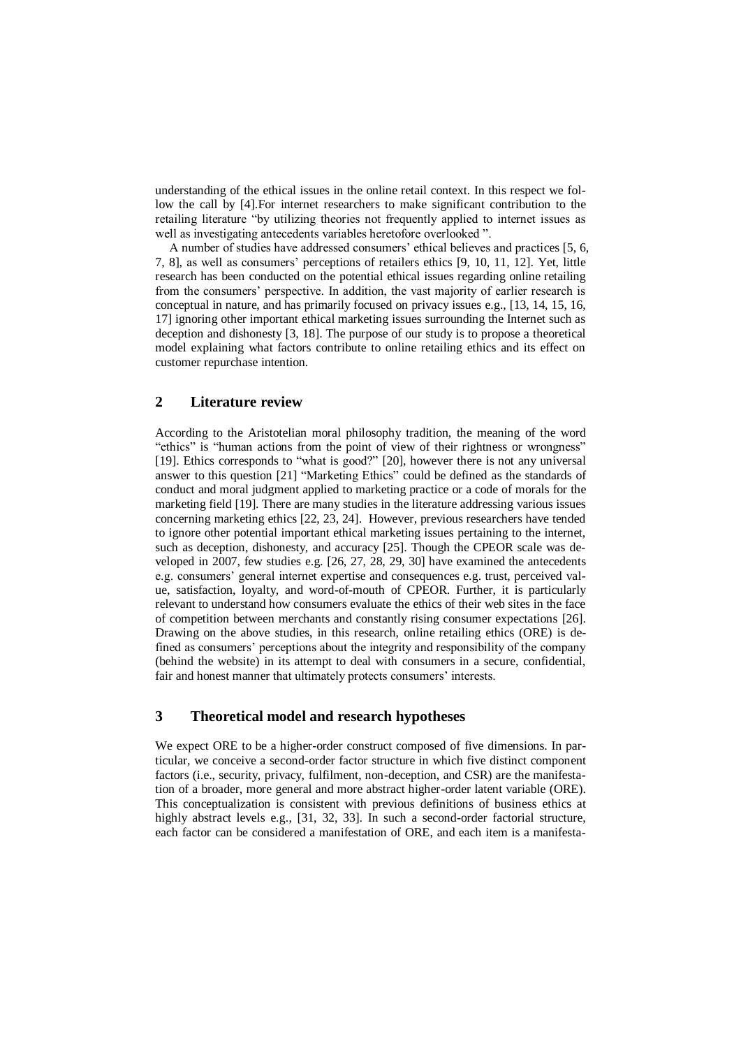understanding of the ethical issues in the online retail context. In this respect we follow the call by [4].For internet researchers to make significant contribution to the retailing literature "by utilizing theories not frequently applied to internet issues as well as investigating antecedents variables heretofore overlooked ".

A number of studies have addressed consumers' ethical believes and practices [5, 6, 7, 8], as well as consumers' perceptions of retailers ethics [9, 10, 11, 12]. Yet, little research has been conducted on the potential ethical issues regarding online retailing from the consumers' perspective. In addition, the vast majority of earlier research is conceptual in nature, and has primarily focused on privacy issues e.g., [13, 14, 15, 16, 17] ignoring other important ethical marketing issues surrounding the Internet such as deception and dishonesty [3, 18]. The purpose of our study is to propose a theoretical model explaining what factors contribute to online retailing ethics and its effect on customer repurchase intention.

### **2 Literature review**

According to the Aristotelian moral philosophy tradition, the meaning of the word "ethics" is "human actions from the point of view of their rightness or wrongness" [19]. Ethics corresponds to "what is good?" [20], however there is not any universal answer to this question [21] "Marketing Ethics" could be defined as the standards of conduct and moral judgment applied to marketing practice or a code of morals for the marketing field [19]. There are many studies in the literature addressing various issues concerning marketing ethics [22, 23, 24]. However, previous researchers have tended to ignore other potential important ethical marketing issues pertaining to the internet, such as deception, dishonesty, and accuracy [25]. Though the CPEOR scale was developed in 2007, few studies e.g. [26, 27, 28, 29, 30] have examined the antecedents e.g. consumers' general internet expertise and consequences e.g. trust, perceived value, satisfaction, loyalty, and word-of-mouth of CPEOR. Further, it is particularly relevant to understand how consumers evaluate the ethics of their web sites in the face of competition between merchants and constantly rising consumer expectations [26]. Drawing on the above studies, in this research, online retailing ethics (ORE) is defined as consumers' perceptions about the integrity and responsibility of the company (behind the website) in its attempt to deal with consumers in a secure, confidential, fair and honest manner that ultimately protects consumers' interests.

### **3 Theoretical model and research hypotheses**

We expect ORE to be a higher-order construct composed of five dimensions. In particular, we conceive a second-order factor structure in which five distinct component factors (i.e., security, privacy, fulfilment, non-deception, and CSR) are the manifestation of a broader, more general and more abstract higher-order latent variable (ORE). This conceptualization is consistent with previous definitions of business ethics at highly abstract levels e.g., [31, 32, 33]. In such a second-order factorial structure, each factor can be considered a manifestation of ORE, and each item is a manifesta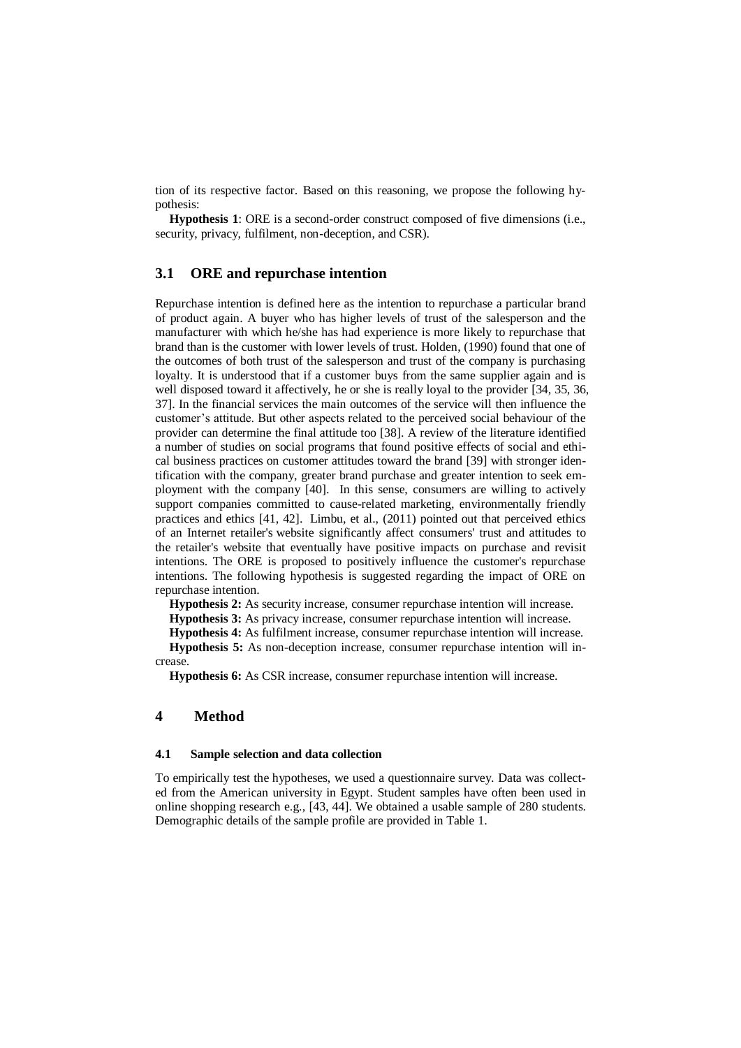tion of its respective factor. Based on this reasoning, we propose the following hypothesis:

**Hypothesis 1**: ORE is a second-order construct composed of five dimensions (i.e., security, privacy, fulfilment, non-deception, and CSR).

### **3.1 ORE and repurchase intention**

Repurchase intention is defined here as the intention to repurchase a particular brand of product again. A buyer who has higher levels of trust of the salesperson and the manufacturer with which he/she has had experience is more likely to repurchase that brand than is the customer with lower levels of trust. Holden, (1990) found that one of the outcomes of both trust of the salesperson and trust of the company is purchasing loyalty. It is understood that if a customer buys from the same supplier again and is well disposed toward it affectively, he or she is really loyal to the provider [34, 35, 36, 37]. In the financial services the main outcomes of the service will then influence the customer's attitude. But other aspects related to the perceived social behaviour of the provider can determine the final attitude too [38]. A review of the literature identified a number of studies on social programs that found positive effects of social and ethical business practices on customer attitudes toward the brand [39] with stronger identification with the company, greater brand purchase and greater intention to seek employment with the company [40]. In this sense, consumers are willing to actively support companies committed to cause-related marketing, environmentally friendly practices and ethics [41, 42]. Limbu, et al., (2011) pointed out that perceived ethics of an Internet retailer's [website](http://www.emeraldinsight.com/journals.htm?articleid=17048197&show=abstract) significantly affect consumers' trust and attitudes to the retailer's website that eventually have positive impacts on purchase and revisit intentions. The ORE is proposed to positively influence the customer's repurchase intentions. The following hypothesis is suggested regarding the impact of ORE on repurchase intention.

**Hypothesis 2:** As security increase, consumer repurchase intention will increase.

**Hypothesis 3:** As privacy increase, consumer repurchase intention will increase.

**Hypothesis 4:** As fulfilment increase, consumer repurchase intention will increase. **Hypothesis 5:** As non-deception increase, consumer repurchase intention will increase.

**Hypothesis 6:** As CSR increase, consumer repurchase intention will increase.

#### **4 Method**

#### **4.1 Sample selection and data collection**

To empirically test the hypotheses, we used a questionnaire survey. Data was collected from the American university in Egypt. Student samples have often been used in online shopping research e.g., [43, 44]. We obtained a usable sample of 280 students. Demographic details of the sample profile are provided in Table 1.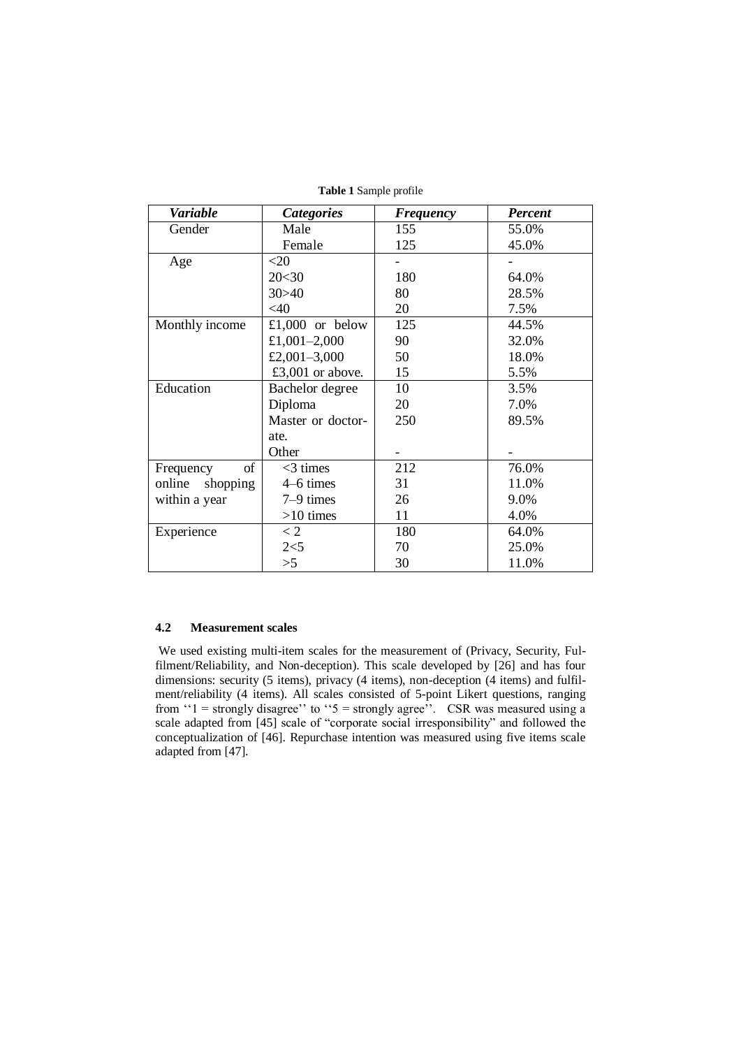| <b>Variable</b>    | <b>Categories</b> | <b>Frequency</b> | <b>Percent</b> |  |
|--------------------|-------------------|------------------|----------------|--|
| Gender             | Male              | 155              | 55.0%          |  |
|                    | Female            | 125              | 45.0%          |  |
| Age                | $<$ 20            |                  |                |  |
|                    | 20<30             | 180              | 64.0%          |  |
|                    | 30 > 40           | 80               | 28.5%          |  |
|                    | <40               | 20               | 7.5%           |  |
| Monthly income     | £1,000 or below   | 125              | 44.5%          |  |
|                    | £1,001-2,000      | 90               | 32.0%          |  |
|                    | £2,001-3,000      | 50               | 18.0%          |  |
|                    | £3,001 or above.  | 15               | 5.5%           |  |
| Education          | Bachelor degree   | 10               | 3.5%           |  |
|                    | Diploma           | 20               | 7.0%           |  |
|                    | Master or doctor- | 250              | 89.5%          |  |
|                    | ate.              |                  |                |  |
|                    | Other             |                  |                |  |
| of<br>Frequency    | $<$ 3 times       | 212              | 76.0%          |  |
| online<br>shopping | 4–6 times         | 31               | 11.0%          |  |
| within a year      | $7-9$ times       | 26               | 9.0%           |  |
|                    | $>10$ times       | 11               | 4.0%           |  |
| Experience         | $\lt 2$           | 180              | 64.0%          |  |
|                    | 2 < 5             | 70               | 25.0%          |  |
|                    | >5                | 30               | 11.0%          |  |

**Table 1** Sample profile

### **4.2 Measurement scales**

We used existing multi-item scales for the measurement of (Privacy, Security, Fulfilment/Reliability, and Non-deception). This scale developed by [26] and has four dimensions: security (5 items), privacy (4 items), non-deception (4 items) and fulfilment/reliability (4 items). All scales consisted of 5-point Likert questions, ranging from " $1 =$  strongly disagree" to " $5 =$  strongly agree". CSR was measured using a scale adapted from [45] scale of "corporate social irresponsibility" and followed the conceptualization of [46]. Repurchase intention was measured using five items scale adapted from [47].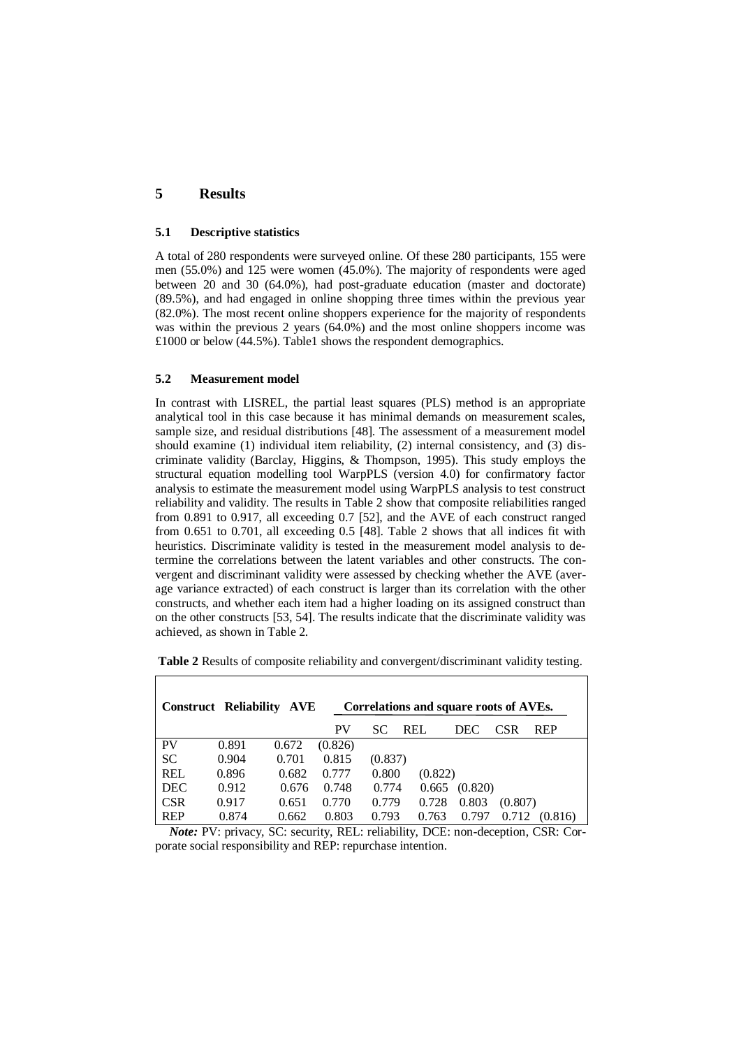### **5 Results**

#### **5.1 Descriptive statistics**

A total of 280 respondents were surveyed online. Of these 280 participants, 155 were men (55.0%) and 125 were women (45.0%). The majority of respondents were aged between 20 and 30 (64.0%), had post-graduate education (master and doctorate) (89.5%), and had engaged in online shopping three times within the previous year (82.0%). The most recent online shoppers experience for the majority of respondents was within the previous 2 years (64.0%) and the most online shoppers income was £1000 or below (44.5%). Table1 shows the respondent demographics.

#### **5.2 Measurement model**

In contrast with LISREL, the partial least squares (PLS) method is an appropriate analytical tool in this case because it has minimal demands on measurement scales, sample size, and residual distributions [48]. The assessment of a measurement model should examine (1) individual item reliability, (2) internal consistency, and (3) discriminate validity (Barclay, Higgins, & Thompson, 1995). This study employs the structural equation modelling tool WarpPLS (version 4.0) for confirmatory factor analysis to estimate the measurement model using WarpPLS analysis to test construct reliability and validity. The results in Table 2 show that composite reliabilities ranged from 0.891 to 0.917, all exceeding 0.7 [52], and the AVE of each construct ranged from 0.651 to 0.701, all exceeding 0.5 [48]. Table 2 shows that all indices fit with heuristics. Discriminate validity is tested in the measurement model analysis to determine the correlations between the latent variables and other constructs. The convergent and discriminant validity were assessed by checking whether the AVE (average variance extracted) of each construct is larger than its correlation with the other constructs, and whether each item had a higher loading on its assigned construct than on the other constructs [53, 54]. The results indicate that the discriminate validity was achieved, as shown in Table 2.

| <b>Construct Reliability AVE</b><br>Correlations and square roots of AVEs. |       |       |         |         |            |            |            |     |
|----------------------------------------------------------------------------|-------|-------|---------|---------|------------|------------|------------|-----|
|                                                                            |       |       | PV      | SC.     | <b>REL</b> | <b>DEC</b> | <b>CSR</b> | REP |
| <b>PV</b>                                                                  | 0.891 | 0.672 | (0.826) |         |            |            |            |     |
| <b>SC</b>                                                                  | 0.904 | 0.701 | 0.815   | (0.837) |            |            |            |     |
| <b>REL</b>                                                                 | 0.896 | 0.682 | 0.777   | 0.800   | (0.822)    |            |            |     |
| <b>DEC</b>                                                                 | 0.912 | 0.676 | 0.748   | 0.774   | 0.665      | (0.820)    |            |     |
| CSR                                                                        | 0.917 | 0.651 | .770    | 0.779   | 0.728      | 0.803      | (0.807)    |     |

**Table 2** Results of composite reliability and convergent/discriminant validity testing.

REP 0.874 0.662 0.803 0.793 0.763 0.797 0.712 (0.816) *Note:* PV: privacy, SC: security, REL: reliability, DCE: non-deception, CSR: Corporate social responsibility and REP: repurchase intention.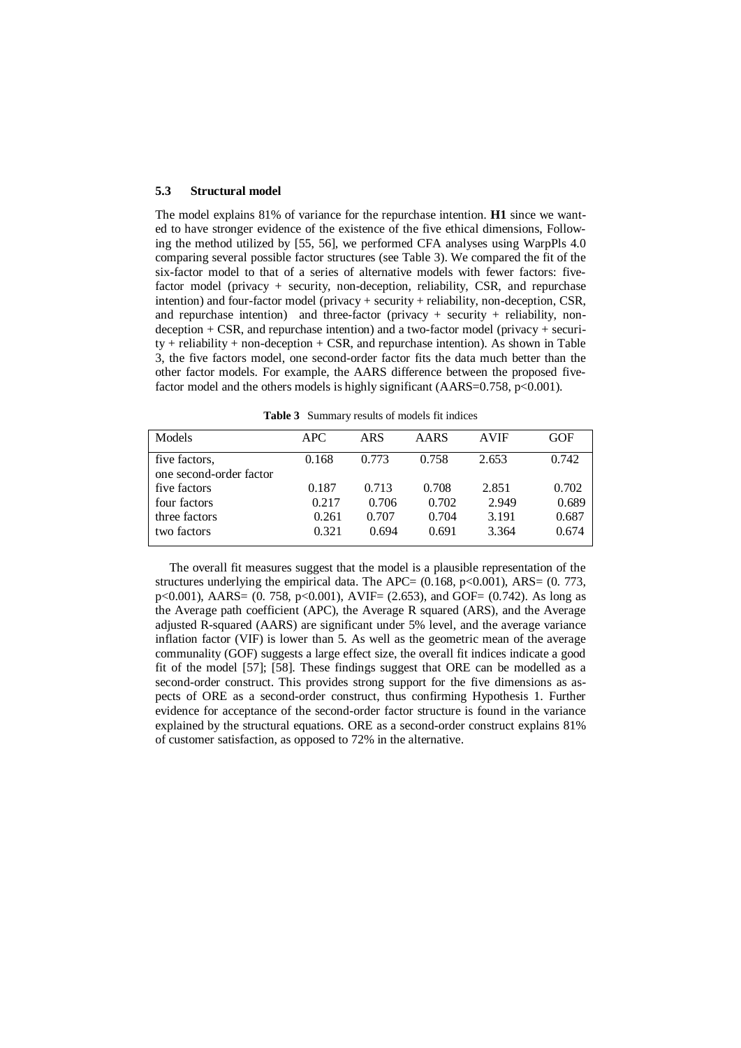#### **5.3 Structural model**

The model explains 81% of variance for the repurchase intention. **H1** since we wanted to have stronger evidence of the existence of the five ethical dimensions, Following the method utilized by [55, 56], we performed CFA analyses using WarpPls 4.0 comparing several possible factor structures (see Table 3). We compared the fit of the six-factor model to that of a series of alternative models with fewer factors: fivefactor model (privacy + security, non-deception, reliability, CSR, and repurchase intention) and four-factor model (privacy + security + reliability, non-deception, CSR, and repurchase intention) and three-factor (privacy  $+$  security  $+$  reliability, nondeception + CSR, and repurchase intention) and a two-factor model (privacy + securi $ty + reliability + non-deception + CSP$ , and repurchase intention). As shown in Table 3, the five factors model, one second-order factor fits the data much better than the other factor models. For example, the AARS difference between the proposed fivefactor model and the others models is highly significant (AARS=0.758, p<0.001).

**Table 3** Summary results of models fit indices

| Models                  | <b>APC</b> | ARS   | AARS  | <b>AVIF</b> | GOF   |
|-------------------------|------------|-------|-------|-------------|-------|
| five factors,           | 0.168      | 0.773 | 0.758 | 2.653       | 0.742 |
| one second-order factor |            |       |       |             |       |
| five factors            | 0.187      | 0.713 | 0.708 | 2.851       | 0.702 |
| four factors            | 0.217      | 0.706 | 0.702 | 2.949       | 0.689 |
| three factors           | 0.261      | 0.707 | 0.704 | 3.191       | 0.687 |
| two factors             | 0.321      | 0.694 | 0.691 | 3.364       | 0.674 |
|                         |            |       |       |             |       |

The overall fit measures suggest that the model is a plausible representation of the structures underlying the empirical data. The APC=  $(0.168, p<0.001)$ , ARS=  $(0.773,$ p<0.001), AARS= (0. 758, p<0.001), AVIF= (2.653), and GOF= (0.742). As long as the Average path coefficient (APC), the Average R squared (ARS), and the Average adjusted R-squared (AARS) are significant under 5% level, and the average variance inflation factor (VIF) is lower than 5. As well as the geometric mean of the average communality (GOF) suggests a large effect size, the overall fit indices indicate a good fit of the model [57]; [58]. These findings suggest that ORE can be modelled as a second-order construct. This provides strong support for the five dimensions as aspects of ORE as a second-order construct, thus confirming Hypothesis 1. Further evidence for acceptance of the second-order factor structure is found in the variance explained by the structural equations. ORE as a second-order construct explains 81% of customer satisfaction, as opposed to 72% in the alternative.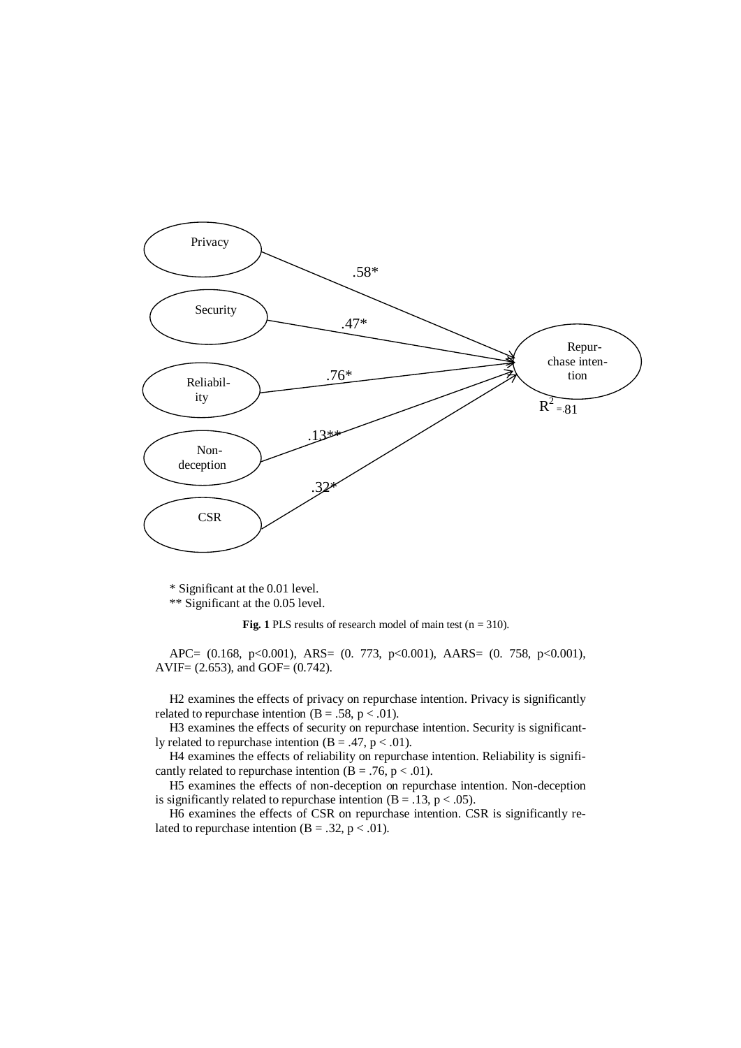

\* Significant at the 0.01 level. \*\* Significant at the 0.05 level.

**Fig. 1** PLS results of research model of main test  $(n = 310)$ .

APC= (0.168, p<0.001), ARS= (0. 773, p<0.001), AARS= (0. 758, p<0.001), AVIF= (2.653), and GOF= (0.742).

H2 examines the effects of privacy on repurchase intention. Privacy is significantly related to repurchase intention ( $B = .58$ ,  $p < .01$ ).

H3 examines the effects of security on repurchase intention. Security is significantly related to repurchase intention ( $B = .47$ ,  $p < .01$ ).

H4 examines the effects of reliability on repurchase intention. Reliability is significantly related to repurchase intention ( $B = .76$ ,  $p < .01$ ).

H5 examines the effects of non-deception on repurchase intention. Non-deception is significantly related to repurchase intention ( $B = .13$ ,  $p < .05$ ).

H6 examines the effects of CSR on repurchase intention. CSR is significantly related to repurchase intention ( $B = .32$ ,  $p < .01$ ).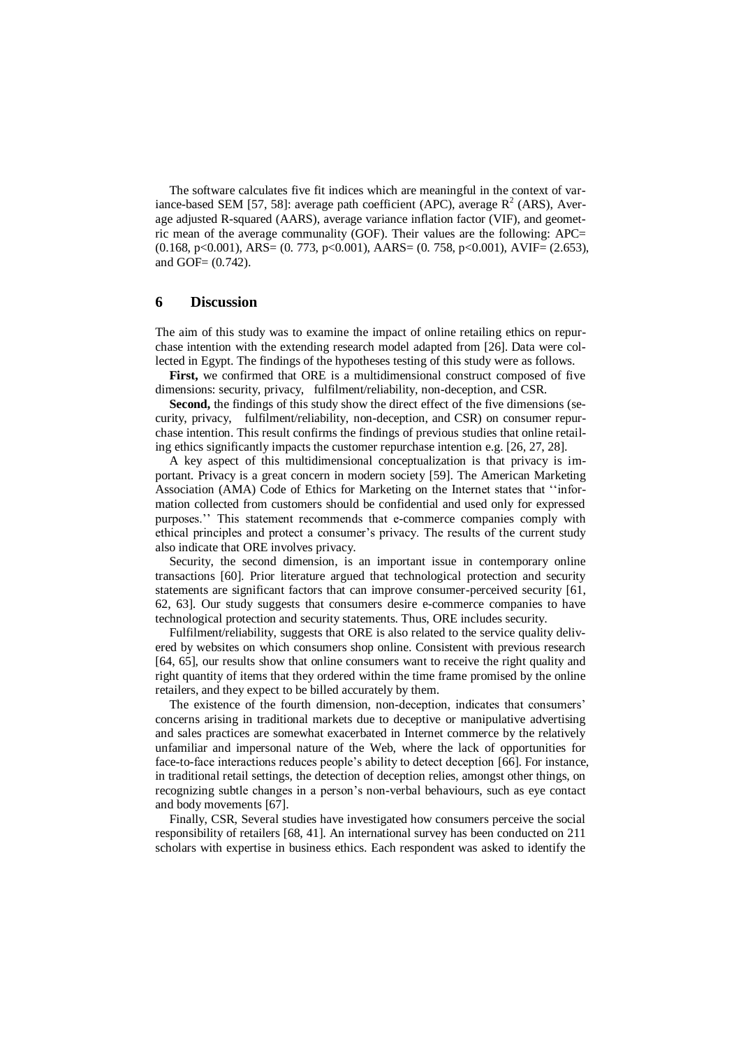The software calculates five fit indices which are meaningful in the context of variance-based SEM [57, 58]: average path coefficient (APC), average  $R^2$  (ARS), Average adjusted R-squared (AARS), average variance inflation factor (VIF), and geometric mean of the average communality (GOF). Their values are the following: APC= (0.168, p<0.001), ARS= (0. 773, p<0.001), AARS= (0. 758, p<0.001), AVIF= (2.653), and GOF= (0.742).

#### **6 Discussion**

The aim of this study was to examine the impact of online retailing ethics on repurchase intention with the extending research model adapted from [26]. Data were collected in Egypt. The findings of the hypotheses testing of this study were as follows.

**First,** we confirmed that ORE is a multidimensional construct composed of five dimensions: security, privacy, fulfilment/reliability, non-deception, and CSR.

**Second,** the findings of this study show the direct effect of the five dimensions (security, privacy, fulfilment/reliability, non-deception, and CSR) on consumer repurchase intention. This result confirms the findings of previous studies that online retailing ethics significantly impacts the customer repurchase intention e.g. [26, 27, 28].

A key aspect of this multidimensional conceptualization is that privacy is important. Privacy is a great concern in modern society [59]. The American Marketing Association (AMA) Code of Ethics for Marketing on the Internet states that ''information collected from customers should be confidential and used only for expressed purposes.'' This statement recommends that e-commerce companies comply with ethical principles and protect a consumer's privacy. The results of the current study also indicate that ORE involves privacy.

Security, the second dimension, is an important issue in contemporary online transactions [60]. Prior literature argued that technological protection and security statements are significant factors that can improve consumer-perceived security [61, 62, 63]. Our study suggests that consumers desire e-commerce companies to have technological protection and security statements. Thus, ORE includes security.

Fulfilment/reliability, suggests that ORE is also related to the service quality delivered by websites on which consumers shop online. Consistent with previous research [64, 65], our results show that online consumers want to receive the right quality and right quantity of items that they ordered within the time frame promised by the online retailers, and they expect to be billed accurately by them.

The existence of the fourth dimension, non-deception, indicates that consumers' concerns arising in traditional markets due to deceptive or manipulative advertising and sales practices are somewhat exacerbated in Internet commerce by the relatively unfamiliar and impersonal nature of the Web, where the lack of opportunities for face-to-face interactions reduces people's ability to detect deception [66]. For instance, in traditional retail settings, the detection of deception relies, amongst other things, on recognizing subtle changes in a person's non-verbal behaviours, such as eye contact and body movements [67].

Finally, CSR, Several studies have investigated how consumers perceive the social responsibility of retailers [68, 41]. An international survey has been conducted on 211 scholars with expertise in business ethics. Each respondent was asked to identify the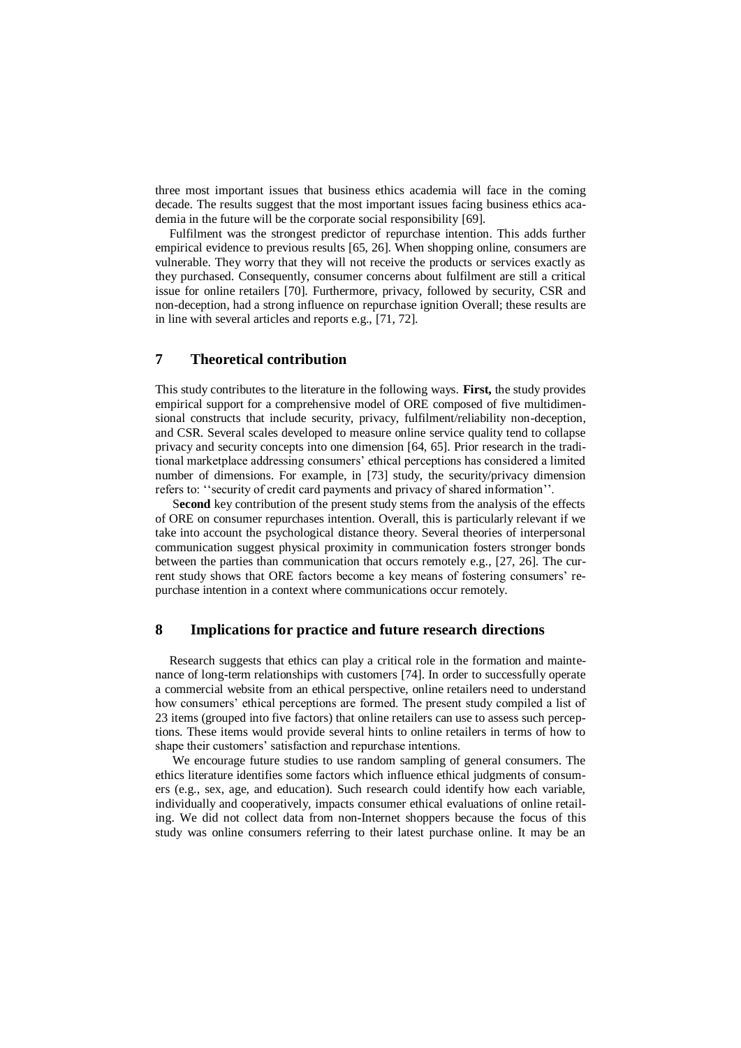three most important issues that business ethics academia will face in the coming decade. The results suggest that the most important issues facing business ethics academia in the future will be the corporate social responsibility [69].

Fulfilment was the strongest predictor of repurchase intention. This adds further empirical evidence to previous results [65, 26]. When shopping online, consumers are vulnerable. They worry that they will not receive the products or services exactly as they purchased. Consequently, consumer concerns about fulfilment are still a critical issue for online retailers [70]. Furthermore, privacy, followed by security, CSR and non-deception, had a strong influence on repurchase ignition Overall; these results are in line with several articles and reports e.g., [71, 72].

### **7 Theoretical contribution**

This study contributes to the literature in the following ways. **First,** the study provides empirical support for a comprehensive model of ORE composed of five multidimensional constructs that include security, privacy, fulfilment/reliability non-deception, and CSR. Several scales developed to measure online service quality tend to collapse privacy and security concepts into one dimension [64, 65]. Prior research in the traditional marketplace addressing consumers' ethical perceptions has considered a limited number of dimensions. For example, in [73] study, the security/privacy dimension refers to: ''security of credit card payments and privacy of shared information''.

S**econd** key contribution of the present study stems from the analysis of the effects of ORE on consumer repurchases intention. Overall, this is particularly relevant if we take into account the psychological distance theory. Several theories of interpersonal communication suggest physical proximity in communication fosters stronger bonds between the parties than communication that occurs remotely e.g., [27, 26]. The current study shows that ORE factors become a key means of fostering consumers' repurchase intention in a context where communications occur remotely.

#### **8 Implications for practice and future research directions**

Research suggests that ethics can play a critical role in the formation and maintenance of long-term relationships with customers [74]. In order to successfully operate a commercial website from an ethical perspective, online retailers need to understand how consumers' ethical perceptions are formed. The present study compiled a list of 23 items (grouped into five factors) that online retailers can use to assess such perceptions. These items would provide several hints to online retailers in terms of how to shape their customers' satisfaction and repurchase intentions.

We encourage future studies to use random sampling of general consumers. The ethics literature identifies some factors which influence ethical judgments of consumers (e.g., sex, age, and education). Such research could identify how each variable, individually and cooperatively, impacts consumer ethical evaluations of online retailing. We did not collect data from non-Internet shoppers because the focus of this study was online consumers referring to their latest purchase online. It may be an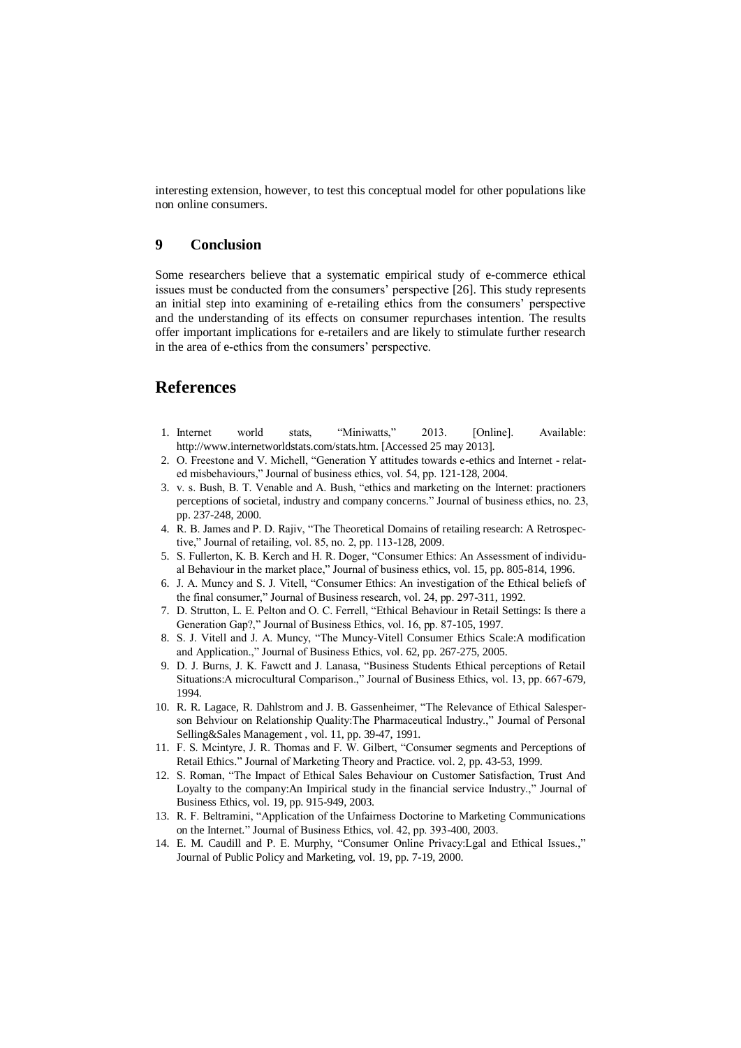interesting extension, however, to test this conceptual model for other populations like non online consumers.

#### **9 Conclusion**

Some researchers believe that a systematic empirical study of e-commerce ethical issues must be conducted from the consumers' perspective [26]. This study represents an initial step into examining of e-retailing ethics from the consumers' perspective and the understanding of its effects on consumer repurchases intention. The results offer important implications for e-retailers and are likely to stimulate further research in the area of e-ethics from the consumers' perspective.

## **References**

- 1. Internet world stats, "Miniwatts," 2013. [Online]. Available: http://www.internetworldstats.com/stats.htm. [Accessed 25 may 2013].
- 2. O. Freestone and V. Michell, "Generation Y attitudes towards e-ethics and Internet related misbehaviours," Journal of business ethics, vol. 54, pp. 121-128, 2004.
- 3. v. s. Bush, B. T. Venable and A. Bush, "ethics and marketing on the Internet: practioners perceptions of societal, industry and company concerns." Journal of business ethics, no. 23, pp. 237-248, 2000.
- 4. R. B. James and P. D. Rajiv, "The Theoretical Domains of retailing research: A Retrospective," Journal of retailing, vol. 85, no. 2, pp. 113-128, 2009.
- 5. S. Fullerton, K. B. Kerch and H. R. Doger, "Consumer Ethics: An Assessment of individual Behaviour in the market place," Journal of business ethics, vol. 15, pp. 805-814, 1996.
- 6. J. A. Muncy and S. J. Vitell, "Consumer Ethics: An investigation of the Ethical beliefs of the final consumer," Journal of Business research, vol. 24, pp. 297-311, 1992.
- 7. D. Strutton, L. E. Pelton and O. C. Ferrell, "Ethical Behaviour in Retail Settings: Is there a Generation Gap?," Journal of Business Ethics, vol. 16, pp. 87-105, 1997.
- 8. S. J. Vitell and J. A. Muncy, "The Muncy-Vitell Consumer Ethics Scale:A modification and Application.," Journal of Business Ethics, vol. 62, pp. 267-275, 2005.
- 9. D. J. Burns, J. K. Fawctt and J. Lanasa, "Business Students Ethical perceptions of Retail Situations:A microcultural Comparison.," Journal of Business Ethics, vol. 13, pp. 667-679, 1994.
- 10. R. R. Lagace, R. Dahlstrom and J. B. Gassenheimer, "The Relevance of Ethical Salesperson Behviour on Relationship Quality:The Pharmaceutical Industry.," Journal of Personal Selling&Sales Management , vol. 11, pp. 39-47, 1991.
- 11. F. S. Mcintyre, J. R. Thomas and F. W. Gilbert, "Consumer segments and Perceptions of Retail Ethics." Journal of Marketing Theory and Practice. vol. 2, pp. 43-53, 1999.
- 12. S. Roman, "The Impact of Ethical Sales Behaviour on Customer Satisfaction, Trust And Loyalty to the company:An Impirical study in the financial service Industry.," Journal of Business Ethics, vol. 19, pp. 915-949, 2003.
- 13. R. F. Beltramini, "Application of the Unfairness Doctorine to Marketing Communications on the Internet." Journal of Business Ethics, vol. 42, pp. 393-400, 2003.
- 14. E. M. Caudill and P. E. Murphy, "Consumer Online Privacy:Lgal and Ethical Issues.," Journal of Public Policy and Marketing, vol. 19, pp. 7-19, 2000.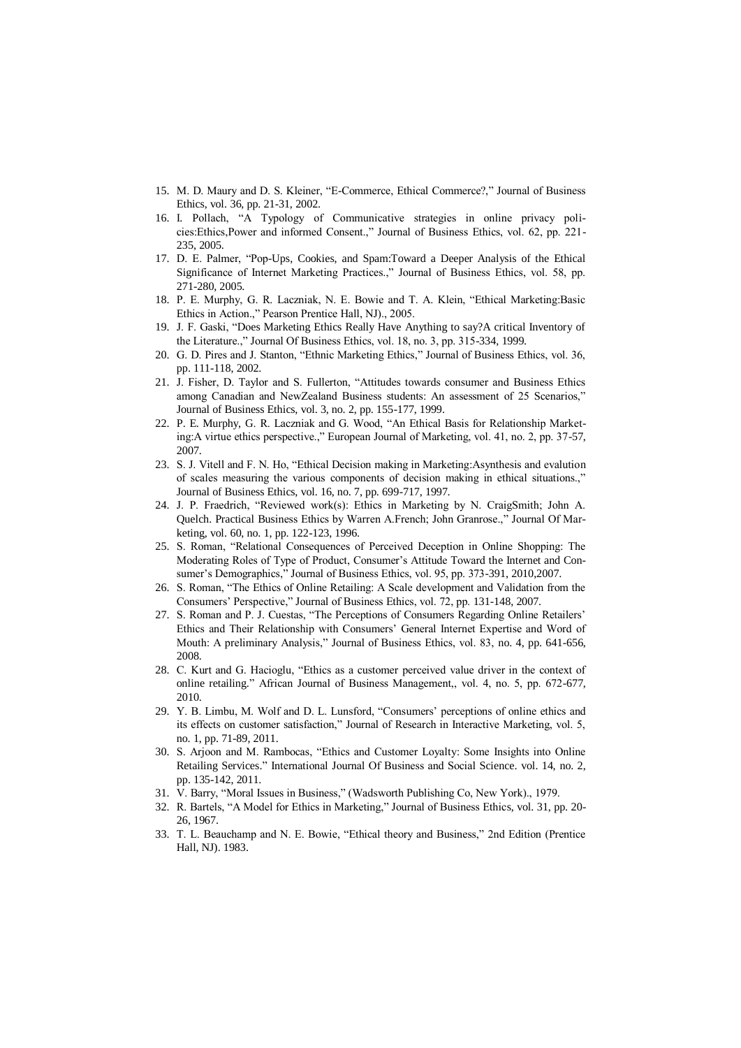- 15. M. D. Maury and D. S. Kleiner, "E-Commerce, Ethical Commerce?," Journal of Business Ethics, vol. 36, pp. 21-31, 2002.
- 16. I. Pollach, "A Typology of Communicative strategies in online privacy policies:Ethics,Power and informed Consent.," Journal of Business Ethics, vol. 62, pp. 221- 235, 2005.
- 17. D. E. Palmer, "Pop-Ups, Cookies, and Spam:Toward a Deeper Analysis of the Ethical Significance of Internet Marketing Practices.," Journal of Business Ethics, vol. 58, pp. 271-280, 2005.
- 18. P. E. Murphy, G. R. Laczniak, N. E. Bowie and T. A. Klein, "Ethical Marketing:Basic Ethics in Action.," Pearson Prentice Hall, NJ)., 2005.
- 19. J. F. Gaski, "Does Marketing Ethics Really Have Anything to say?A critical Inventory of the Literature.," Journal Of Business Ethics, vol. 18, no. 3, pp. 315-334, 1999.
- 20. G. D. Pires and J. Stanton, "Ethnic Marketing Ethics," Journal of Business Ethics, vol. 36, pp. 111-118, 2002.
- 21. J. Fisher, D. Taylor and S. Fullerton, "Attitudes towards consumer and Business Ethics among Canadian and NewZealand Business students: An assessment of 25 Scenarios," Journal of Business Ethics, vol. 3, no. 2, pp. 155-177, 1999.
- 22. P. E. Murphy, G. R. Laczniak and G. Wood, "An Ethical Basis for Relationship Marketing:A virtue ethics perspective.," European Journal of Marketing, vol. 41, no. 2, pp. 37-57, 2007.
- 23. S. J. Vitell and F. N. Ho, "Ethical Decision making in Marketing:Asynthesis and evalution of scales measuring the various components of decision making in ethical situations.," Journal of Business Ethics, vol. 16, no. 7, pp. 699-717, 1997.
- 24. J. P. Fraedrich, "Reviewed work(s): Ethics in Marketing by N. CraigSmith; John A. Quelch. Practical Business Ethics by Warren A.French; John Granrose.," Journal Of Marketing, vol. 60, no. 1, pp. 122-123, 1996.
- 25. S. Roman, "Relational Consequences of Perceived Deception in Online Shopping: The Moderating Roles of Type of Product, Consumer's Attitude Toward the Internet and Consumer's Demographics," Journal of Business Ethics, vol. 95, pp. 373-391, 2010,2007.
- 26. S. Roman, "The Ethics of Online Retailing: A Scale development and Validation from the Consumers' Perspective," Journal of Business Ethics, vol. 72, pp. 131-148, 2007.
- 27. S. Roman and P. J. Cuestas, "The Perceptions of Consumers Regarding Online Retailers' Ethics and Their Relationship with Consumers' General Internet Expertise and Word of Mouth: A preliminary Analysis," Journal of Business Ethics, vol. 83, no. 4, pp. 641-656, 2008.
- 28. C. Kurt and G. Hacioglu, "Ethics as a customer perceived value driver in the context of online retailing." African Journal of Business Management,, vol. 4, no. 5, pp. 672-677, 2010.
- 29. Y. B. Limbu, M. Wolf and D. L. Lunsford, "Consumers' perceptions of online ethics and its effects on customer satisfaction," Journal of Research in Interactive Marketing, vol. 5, no. 1, pp. 71-89, 2011.
- 30. S. Arjoon and M. Rambocas, "Ethics and Customer Loyalty: Some Insights into Online Retailing Services." International Journal Of Business and Social Science. vol. 14, no. 2, pp. 135-142, 2011.
- 31. V. Barry, "Moral Issues in Business," (Wadsworth Publishing Co, New York)., 1979.
- 32. R. Bartels, "A Model for Ethics in Marketing," Journal of Business Ethics, vol. 31, pp. 20- 26, 1967.
- 33. T. L. Beauchamp and N. E. Bowie, "Ethical theory and Business," 2nd Edition (Prentice Hall, NJ). 1983.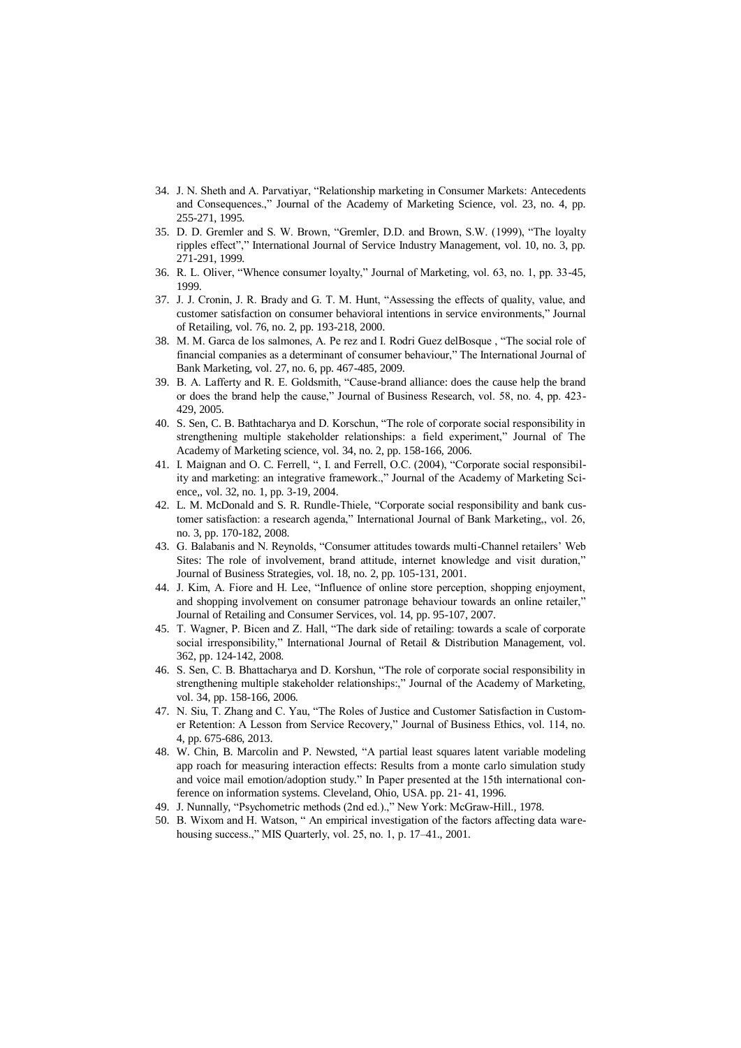- 34. J. N. Sheth and A. Parvatiyar, "Relationship marketing in Consumer Markets: Antecedents and Consequences.," Journal of the Academy of Marketing Science, vol. 23, no. 4, pp. 255-271, 1995.
- 35. D. D. Gremler and S. W. Brown, "Gremler, D.D. and Brown, S.W. (1999), "The loyalty ripples effect"," International Journal of Service Industry Management, vol. 10, no. 3, pp. 271-291, 1999.
- 36. R. L. Oliver, "Whence consumer loyalty," Journal of Marketing, vol. 63, no. 1, pp. 33-45, 1999.
- 37. J. J. Cronin, J. R. Brady and G. T. M. Hunt, "Assessing the effects of quality, value, and customer satisfaction on consumer behavioral intentions in service environments," Journal of Retailing, vol. 76, no. 2, pp. 193-218, 2000.
- 38. M. M. Garca de los salmones, A. Pe rez and I. Rodri Guez delBosque , "The social role of financial companies as a determinant of consumer behaviour," The International Journal of Bank Marketing, vol. 27, no. 6, pp. 467-485, 2009.
- 39. B. A. Lafferty and R. E. Goldsmith, "Cause-brand alliance: does the cause help the brand or does the brand help the cause," Journal of Business Research, vol. 58, no. 4, pp. 423- 429, 2005.
- 40. S. Sen, C. B. Bathtacharya and D. Korschun, "The role of corporate social responsibility in strengthening multiple stakeholder relationships: a field experiment," Journal of The Academy of Marketing science, vol. 34, no. 2, pp. 158-166, 2006.
- 41. I. Maignan and O. C. Ferrell, ", I. and Ferrell, O.C. (2004), "Corporate social responsibility and marketing: an integrative framework.," Journal of the Academy of Marketing Science,, vol. 32, no. 1, pp. 3-19, 2004.
- 42. L. M. McDonald and S. R. Rundle-Thiele, "Corporate social responsibility and bank customer satisfaction: a research agenda," International Journal of Bank Marketing,, vol. 26, no. 3, pp. 170-182, 2008.
- 43. G. Balabanis and N. Reynolds, "Consumer attitudes towards multi-Channel retailers' Web Sites: The role of involvement, brand attitude, internet knowledge and visit duration," Journal of Business Strategies, vol. 18, no. 2, pp. 105-131, 2001.
- 44. J. Kim, A. Fiore and H. Lee, "Influence of online store perception, shopping enjoyment, and shopping involvement on consumer patronage behaviour towards an online retailer," Journal of Retailing and Consumer Services, vol. 14, pp. 95-107, 2007.
- 45. T. Wagner, P. Bicen and Z. Hall, "The dark side of retailing: towards a scale of corporate social irresponsibility," International Journal of Retail & Distribution Management, vol. 362, pp. 124-142, 2008.
- 46. S. Sen, C. B. Bhattacharya and D. Korshun, "The role of corporate social responsibility in strengthening multiple stakeholder relationships:," Journal of the Academy of Marketing, vol. 34, pp. 158-166, 2006.
- 47. N. Siu, T. Zhang and C. Yau, "The Roles of Justice and Customer Satisfaction in Customer Retention: A Lesson from Service Recovery," Journal of Business Ethics, vol. 114, no. 4, pp. 675-686, 2013.
- 48. W. Chin, B. Marcolin and P. Newsted, "A partial least squares latent variable modeling app roach for measuring interaction effects: Results from a monte carlo simulation study and voice mail emotion/adoption study." In Paper presented at the 15th international conference on information systems. Cleveland, Ohio, USA. pp. 21- 41, 1996.
- 49. J. Nunnally, "Psychometric methods (2nd ed.).," New York: McGraw-Hill., 1978.
- 50. B. Wixom and H. Watson, " An empirical investigation of the factors affecting data warehousing success.," MIS Quarterly, vol. 25, no. 1, p. 17–41., 2001.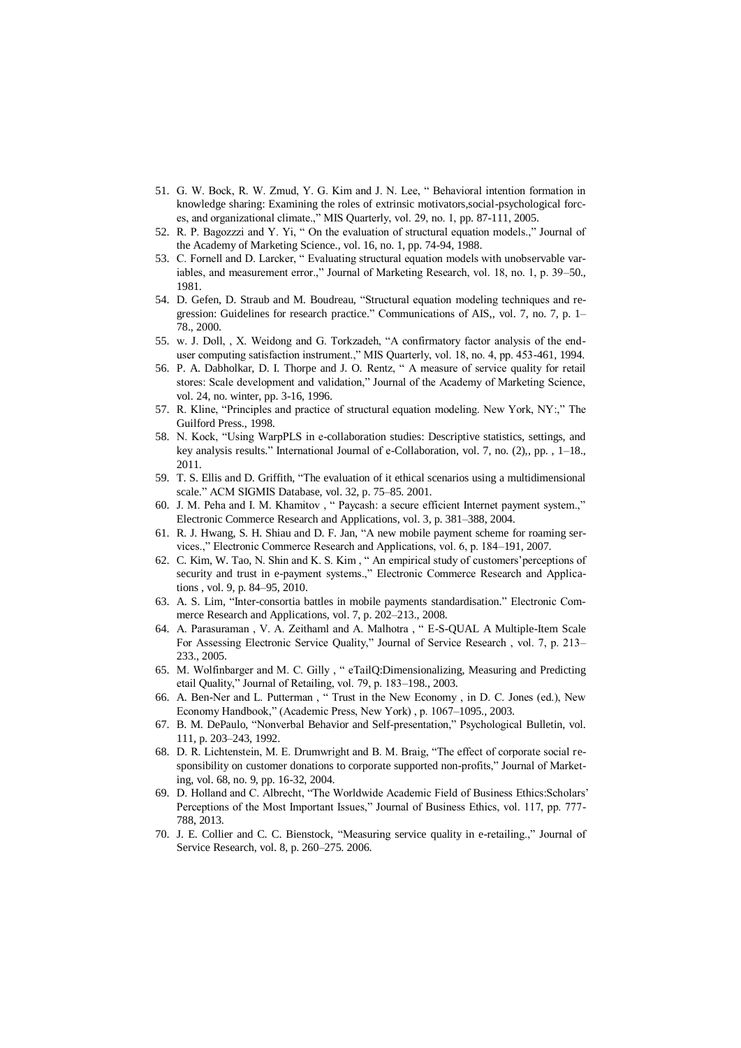- 51. G. W. Bock, R. W. Zmud, Y. G. Kim and J. N. Lee, " Behavioral intention formation in knowledge sharing: Examining the roles of extrinsic motivators,social-psychological forces, and organizational climate.," MIS Quarterly, vol. 29, no. 1, pp. 87-111, 2005.
- 52. R. P. Bagozzzi and Y. Yi, " On the evaluation of structural equation models.," Journal of the Academy of Marketing Science., vol. 16, no. 1, pp. 74-94, 1988.
- 53. C. Fornell and D. Larcker, " Evaluating structural equation models with unobservable variables, and measurement error.," Journal of Marketing Research, vol. 18, no. 1, p. 39–50., 1981.
- 54. D. Gefen, D. Straub and M. Boudreau, "Structural equation modeling techniques and regression: Guidelines for research practice." Communications of AIS,, vol. 7, no. 7, p. 1– 78., 2000.
- 55. w. J. Doll, , X. Weidong and G. Torkzadeh, "A confirmatory factor analysis of the enduser computing satisfaction instrument.," MIS Quarterly, vol. 18, no. 4, pp. 453-461, 1994.
- 56. P. A. Dabholkar, D. I. Thorpe and J. O. Rentz, " A measure of service quality for retail stores: Scale development and validation," Journal of the Academy of Marketing Science, vol. 24, no. winter, pp. 3-16, 1996.
- 57. R. Kline, "Principles and practice of structural equation modeling. New York, NY:," The Guilford Press., 1998.
- 58. N. Kock, "Using WarpPLS in e-collaboration studies: Descriptive statistics, settings, and key analysis results." International Journal of e-Collaboration, vol. 7, no. (2),, pp. , 1–18., 2011.
- 59. T. S. Ellis and D. Griffith, "The evaluation of it ethical scenarios using a multidimensional scale." ACM SIGMIS Database, vol. 32, p. 75–85. 2001.
- 60. J. M. Peha and I. M. Khamitov , " Paycash: a secure efficient Internet payment system.," Electronic Commerce Research and Applications, vol. 3, p. 381–388, 2004.
- 61. R. J. Hwang, S. H. Shiau and D. F. Jan, "A new mobile payment scheme for roaming services.," Electronic Commerce Research and Applications, vol. 6, p. 184–191, 2007.
- 62. C. Kim, W. Tao, N. Shin and K. S. Kim , " An empirical study of customers'perceptions of security and trust in e-payment systems.," Electronic Commerce Research and Applications , vol. 9, p. 84–95, 2010.
- 63. A. S. Lim, "Inter-consortia battles in mobile payments standardisation." Electronic Commerce Research and Applications, vol. 7, p. 202–213., 2008.
- 64. A. Parasuraman , V. A. Zeithaml and A. Malhotra , " E-S-QUAL A Multiple-Item Scale For Assessing Electronic Service Quality," Journal of Service Research , vol. 7, p. 213– 233., 2005.
- 65. M. Wolfinbarger and M. C. Gilly , " eTailQ:Dimensionalizing, Measuring and Predicting etail Quality," Journal of Retailing, vol. 79, p. 183–198., 2003.
- 66. A. Ben-Ner and L. Putterman , " Trust in the New Economy , in D. C. Jones (ed.), New Economy Handbook," (Academic Press, New York) , p. 1067–1095., 2003.
- 67. B. M. DePaulo, "Nonverbal Behavior and Self-presentation," Psychological Bulletin, vol. 111, p. 203–243, 1992.
- 68. D. R. Lichtenstein, M. E. Drumwright and B. M. Braig, "The effect of corporate social responsibility on customer donations to corporate supported non-profits," Journal of Marketing, vol. 68, no. 9, pp. 16-32, 2004.
- 69. D. Holland and C. Albrecht, "The Worldwide Academic Field of Business Ethics:Scholars' Perceptions of the Most Important Issues," Journal of Business Ethics, vol. 117, pp. 777- 788, 2013.
- 70. J. E. Collier and C. C. Bienstock, "Measuring service quality in e-retailing.," Journal of Service Research, vol. 8, p. 260–275. 2006.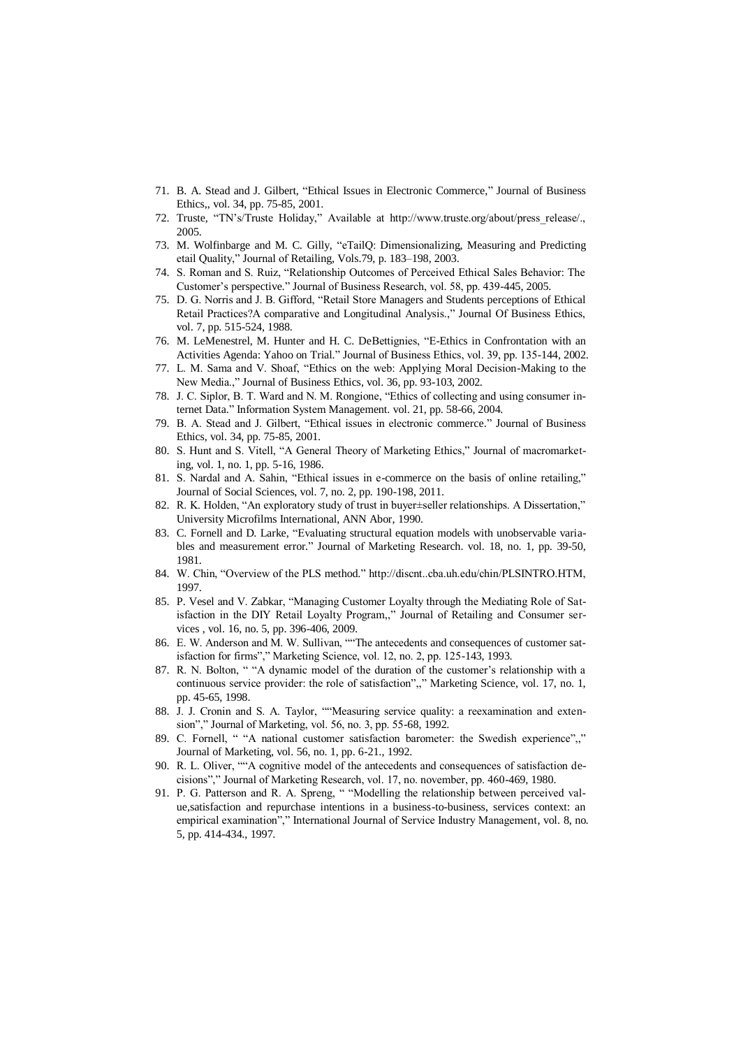- 71. B. A. Stead and J. Gilbert, "Ethical Issues in Electronic Commerce," Journal of Business Ethics,, vol. 34, pp. 75-85, 2001.
- 72. Truste, "TN's/Truste Holiday," Available at http://www.truste.org/about/press\_release/., 2005.
- 73. M. Wolfinbarge and M. C. Gilly, "eTailQ: Dimensionalizing, Measuring and Predicting etail Quality," Journal of Retailing, Vols.79, p. 183–198, 2003.
- 74. S. Roman and S. Ruiz, "Relationship Outcomes of Perceived Ethical Sales Behavior: The Customer's perspective." Journal of Business Research, vol. 58, pp. 439-445, 2005.
- 75. D. G. Norris and J. B. Gifford, "Retail Store Managers and Students perceptions of Ethical Retail Practices?A comparative and Longitudinal Analysis.," Journal Of Business Ethics, vol. 7, pp. 515-524, 1988.
- 76. M. LeMenestrel, M. Hunter and H. C. DeBettignies, "E-Ethics in Confrontation with an Activities Agenda: Yahoo on Trial." Journal of Business Ethics, vol. 39, pp. 135-144, 2002.
- 77. L. M. Sama and V. Shoaf, "Ethics on the web: Applying Moral Decision-Making to the New Media.," Journal of Business Ethics, vol. 36, pp. 93-103, 2002.
- 78. J. C. Siplor, B. T. Ward and N. M. Rongione, "Ethics of collecting and using consumer internet Data." Information System Management. vol. 21, pp. 58-66, 2004.
- 79. B. A. Stead and J. Gilbert, "Ethical issues in electronic commerce." Journal of Business Ethics, vol. 34, pp. 75-85, 2001.
- 80. S. Hunt and S. Vitell, "A General Theory of Marketing Ethics," Journal of macromarketing, vol. 1, no. 1, pp. 5-16, 1986.
- 81. S. Nardal and A. Sahin, "Ethical issues in e-commerce on the basis of online retailing," Journal of Social Sciences, vol. 7, no. 2, pp. 190-198, 2011.
- 82. R. K. Holden, "An exploratory study of trust in buyer±seller relationships. A Dissertation," University Microfilms International, ANN Abor, 1990.
- 83. C. Fornell and D. Larke, "Evaluating structural equation models with unobservable variables and measurement error." Journal of Marketing Research. vol. 18, no. 1, pp. 39-50, 1981.
- 84. W. Chin, "Overview of the PLS method." http://discnt..cba.uh.edu/chin/PLSINTRO.HTM, 1997.
- 85. P. Vesel and V. Zabkar, "Managing Customer Loyalty through the Mediating Role of Satisfaction in the DIY Retail Loyalty Program,," Journal of Retailing and Consumer services , vol. 16, no. 5, pp. 396-406, 2009.
- 86. E. W. Anderson and M. W. Sullivan, ""The antecedents and consequences of customer satisfaction for firms"," Marketing Science, vol. 12, no. 2, pp. 125-143, 1993.
- 87. R. N. Bolton, " "A dynamic model of the duration of the customer's relationship with a continuous service provider: the role of satisfaction",," Marketing Science, vol. 17, no. 1, pp. 45-65, 1998.
- 88. J. J. Cronin and S. A. Taylor, ""Measuring service quality: a reexamination and extension"," Journal of Marketing, vol. 56, no. 3, pp. 55-68, 1992.
- 89. C. Fornell, " "A national customer satisfaction barometer: the Swedish experience",," Journal of Marketing, vol. 56, no. 1, pp. 6-21., 1992.
- 90. R. L. Oliver, ""A cognitive model of the antecedents and consequences of satisfaction decisions"," Journal of Marketing Research, vol. 17, no. november, pp. 460-469, 1980.
- 91. P. G. Patterson and R. A. Spreng, " "Modelling the relationship between perceived value,satisfaction and repurchase intentions in a business-to-business, services context: an empirical examination"," International Journal of Service Industry Management, vol. 8, no. 5, pp. 414-434., 1997.